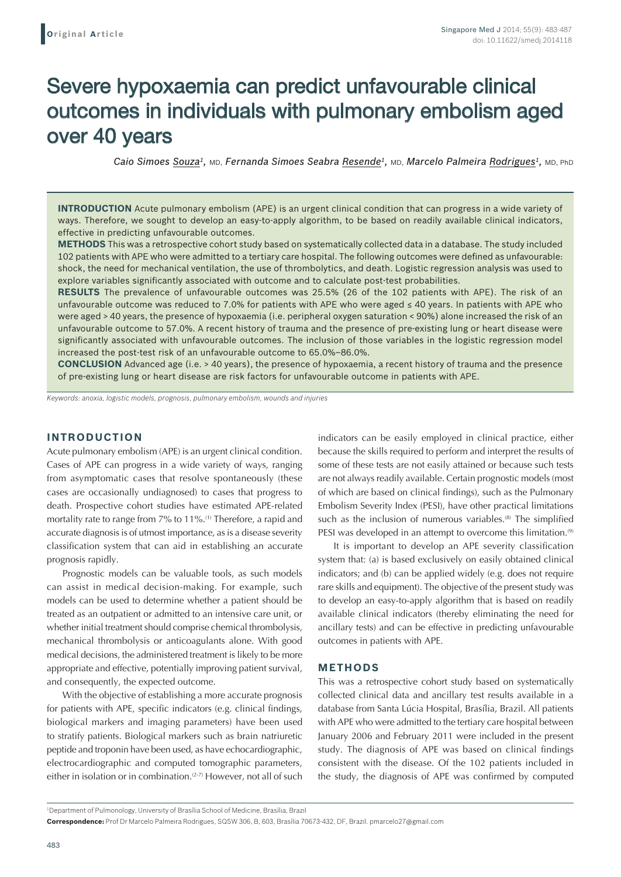# Severe hypoxaemia can predict unfavourable clinical outcomes in individuals with pulmonary embolism aged over 40 years

*Caio Simoes Souza1,* MD, *Fernanda Simoes Seabra Resende1,* MD, *Marcelo Palmeira Rodrigues1,* MD, PhD

**INTRODUCTION** Acute pulmonary embolism (APE) is an urgent clinical condition that can progress in a wide variety of ways. Therefore, we sought to develop an easy-to-apply algorithm, to be based on readily available clinical indicators, effective in predicting unfavourable outcomes.

**METHODS** This was a retrospective cohort study based on systematically collected data in a database. The study included 102 patients with APE who were admitted to a tertiary care hospital. The following outcomes were defined as unfavourable: shock, the need for mechanical ventilation, the use of thrombolytics, and death. Logistic regression analysis was used to explore variables significantly associated with outcome and to calculate post-test probabilities.

**RESULTS** The prevalence of unfavourable outcomes was 25.5% (26 of the 102 patients with APE). The risk of an unfavourable outcome was reduced to 7.0% for patients with APE who were aged ≤ 40 years. In patients with APE who were aged > 40 years, the presence of hypoxaemia (i.e. peripheral oxygen saturation < 90%) alone increased the risk of an unfavourable outcome to 57.0%. A recent history of trauma and the presence of pre-existing lung or heart disease were significantly associated with unfavourable outcomes. The inclusion of those variables in the logistic regression model increased the post-test risk of an unfavourable outcome to 65.0%–86.0%.

**CONCLUSION** Advanced age (i.e. > 40 years), the presence of hypoxaemia, a recent history of trauma and the presence of pre-existing lung or heart disease are risk factors for unfavourable outcome in patients with APE.

*Keywords: anoxia, logistic models, prognosis, pulmonary embolism, wounds and injuries*

## **INTRODUCTION**

Acute pulmonary embolism (APE) is an urgent clinical condition. Cases of APE can progress in a wide variety of ways, ranging from asymptomatic cases that resolve spontaneously (these cases are occasionally undiagnosed) to cases that progress to death. Prospective cohort studies have estimated APE-related mortality rate to range from 7% to 11%.<sup>(1)</sup> Therefore, a rapid and accurate diagnosis is of utmost importance, as is a disease severity classification system that can aid in establishing an accurate prognosis rapidly.

Prognostic models can be valuable tools, as such models can assist in medical decision-making. For example, such models can be used to determine whether a patient should be treated as an outpatient or admitted to an intensive care unit, or whether initial treatment should comprise chemical thrombolysis, mechanical thrombolysis or anticoagulants alone. With good medical decisions, the administered treatment is likely to be more appropriate and effective, potentially improving patient survival, and consequently, the expected outcome.

With the objective of establishing a more accurate prognosis for patients with APE, specific indicators (e.g. clinical findings, biological markers and imaging parameters) have been used to stratify patients. Biological markers such as brain natriuretic peptide and troponin have been used, as have echocardiographic, electrocardiographic and computed tomographic parameters, either in isolation or in combination.<sup>(2-7)</sup> However, not all of such indicators can be easily employed in clinical practice, either because the skills required to perform and interpret the results of some of these tests are not easily attained or because such tests are not always readily available. Certain prognostic models (most of which are based on clinical findings), such as the Pulmonary Embolism Severity Index (PESI), have other practical limitations such as the inclusion of numerous variables.<sup>(8)</sup> The simplified PESI was developed in an attempt to overcome this limitation.<sup>(9)</sup>

It is important to develop an APE severity classification system that: (a) is based exclusively on easily obtained clinical indicators; and (b) can be applied widely (e.g. does not require rare skills and equipment). The objective of the present study was to develop an easy-to-apply algorithm that is based on readily available clinical indicators (thereby eliminating the need for ancillary tests) and can be effective in predicting unfavourable outcomes in patients with APE.

## **METHODS**

This was a retrospective cohort study based on systematically collected clinical data and ancillary test results available in a database from Santa Lúcia Hospital, Brasília, Brazil. All patients with APE who were admitted to the tertiary care hospital between January 2006 and February 2011 were included in the present study. The diagnosis of APE was based on clinical findings consistent with the disease. Of the 102 patients included in the study, the diagnosis of APE was confirmed by computed

1 Department of Pulmonology, University of Brasília School of Medicine, Brasília, Brazil

**Correspondence:** Prof Dr Marcelo Palmeira Rodrigues, SQSW 306, B, 603, Brasília 70673-432, DF, Brazil. pmarcelo27@gmail.com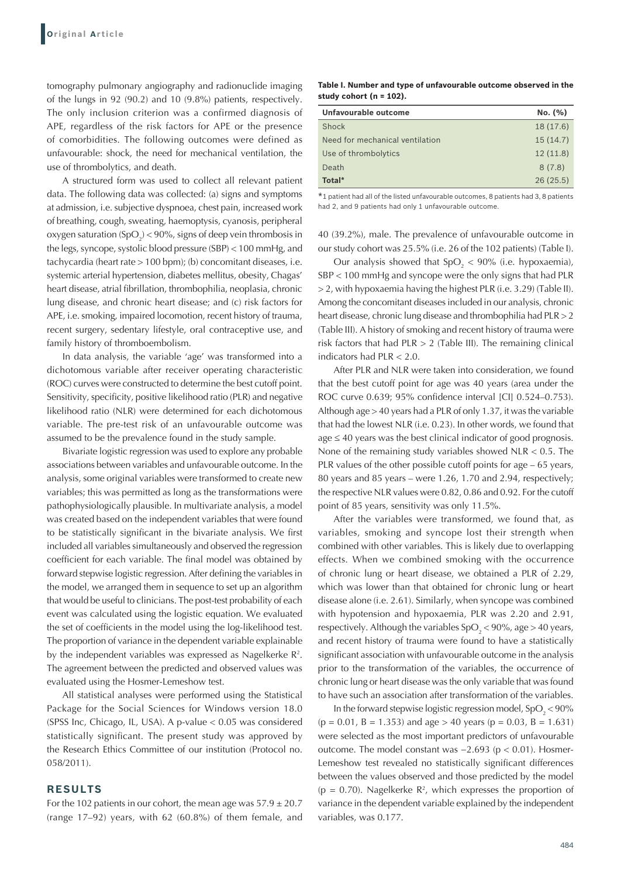tomography pulmonary angiography and radionuclide imaging of the lungs in 92 (90.2) and 10 (9.8%) patients, respectively. The only inclusion criterion was a confirmed diagnosis of APE, regardless of the risk factors for APE or the presence of comorbidities. The following outcomes were defined as unfavourable: shock, the need for mechanical ventilation, the use of thrombolytics, and death.

A structured form was used to collect all relevant patient data. The following data was collected: (a) signs and symptoms at admission, i.e. subjective dyspnoea, chest pain, increased work of breathing, cough, sweating, haemoptysis, cyanosis, peripheral oxygen saturation (SpO<sub>2</sub>) < 90%, signs of deep vein thrombosis in the legs, syncope, systolic blood pressure (SBP) < 100 mmHg, and tachycardia (heart rate > 100 bpm); (b) concomitant diseases, i.e. systemic arterial hypertension, diabetes mellitus, obesity, Chagas' heart disease, atrial fibrillation, thrombophilia, neoplasia, chronic lung disease, and chronic heart disease; and (c) risk factors for APE, i.e. smoking, impaired locomotion, recent history of trauma, recent surgery, sedentary lifestyle, oral contraceptive use, and family history of thromboembolism.

In data analysis, the variable 'age' was transformed into a dichotomous variable after receiver operating characteristic (ROC) curves were constructed to determine the best cutoff point. Sensitivity, specificity, positive likelihood ratio (PLR) and negative likelihood ratio (NLR) were determined for each dichotomous variable. The pre-test risk of an unfavourable outcome was assumed to be the prevalence found in the study sample.

Bivariate logistic regression was used to explore any probable associations between variables and unfavourable outcome. In the analysis, some original variables were transformed to create new variables; this was permitted as long as the transformations were pathophysiologically plausible. In multivariate analysis, a model was created based on the independent variables that were found to be statistically significant in the bivariate analysis. We first included all variables simultaneously and observed the regression coefficient for each variable. The final model was obtained by forward stepwise logistic regression. After defining the variables in the model, we arranged them in sequence to set up an algorithm that would be useful to clinicians. The post-test probability of each event was calculated using the logistic equation. We evaluated the set of coefficients in the model using the log-likelihood test. The proportion of variance in the dependent variable explainable by the independent variables was expressed as Nagelkerke  $\mathbb{R}^2$ . The agreement between the predicted and observed values was evaluated using the Hosmer-Lemeshow test.

All statistical analyses were performed using the Statistical Package for the Social Sciences for Windows version 18.0 (SPSS Inc, Chicago, IL, USA). A p-value < 0.05 was considered statistically significant. The present study was approved by the Research Ethics Committee of our institution (Protocol no. 058/2011).

#### **RESULTS**

For the 102 patients in our cohort, the mean age was  $57.9 \pm 20.7$ (range 17–92) years, with 62 (60.8%) of them female, and

**Table I. Number and type of unfavourable outcome observed in the study cohort (n = 102).**

| No. (%)   |
|-----------|
| 18 (17.6) |
| 15(14.7)  |
| 12(11.8)  |
| 8(7.8)    |
| 26(25.5)  |
|           |

\*1 patient had all of the listed unfavourable outcomes, 8 patients had 3, 8 patients had 2, and 9 patients had only 1 unfavourable outcome.

40 (39.2%), male. The prevalence of unfavourable outcome in our study cohort was 25.5% (i.e. 26 of the 102 patients) (Table I).

Our analysis showed that  $SpO<sub>2</sub> < 90%$  (i.e. hypoxaemia), SBP < 100 mmHg and syncope were the only signs that had PLR > 2, with hypoxaemia having the highest PLR (i.e. 3.29) (Table II). Among the concomitant diseases included in our analysis, chronic heart disease, chronic lung disease and thrombophilia had PLR > 2 (Table III). A history of smoking and recent history of trauma were risk factors that had  $PLR > 2$  (Table III). The remaining clinical indicators had PLR < 2.0.

After PLR and NLR were taken into consideration, we found that the best cutoff point for age was 40 years (area under the ROC curve 0.639; 95% confidence interval [CI] 0.524–0.753). Although age > 40 years had a PLR of only 1.37, it was the variable that had the lowest NLR (i.e. 0.23). In other words, we found that age ≤ 40 years was the best clinical indicator of good prognosis. None of the remaining study variables showed  $NLR < 0.5$ . The PLR values of the other possible cutoff points for age – 65 years, 80 years and 85 years – were 1.26, 1.70 and 2.94, respectively; the respective NLR values were 0.82, 0.86 and 0.92. For the cutoff point of 85 years, sensitivity was only 11.5%.

After the variables were transformed, we found that, as variables, smoking and syncope lost their strength when combined with other variables. This is likely due to overlapping effects. When we combined smoking with the occurrence of chronic lung or heart disease, we obtained a PLR of 2.29, which was lower than that obtained for chronic lung or heart disease alone (i.e. 2.61). Similarly, when syncope was combined with hypotension and hypoxaemia, PLR was 2.20 and 2.91, respectively. Although the variables  $SpO_2$  < 90%, age > 40 years, and recent history of trauma were found to have a statistically significant association with unfavourable outcome in the analysis prior to the transformation of the variables, the occurrence of chronic lung or heart disease was the only variable that was found to have such an association after transformation of the variables.

In the forward stepwise logistic regression model,  $SpO_2 < 90\%$  $(p = 0.01, B = 1.353)$  and age > 40 years  $(p = 0.03, B = 1.631)$ were selected as the most important predictors of unfavourable outcome. The model constant was −2.693 (p < 0.01). Hosmer-Lemeshow test revealed no statistically significant differences between the values observed and those predicted by the model  $(p = 0.70)$ . Nagelkerke  $\mathbb{R}^2$ , which expresses the proportion of variance in the dependent variable explained by the independent variables, was 0.177.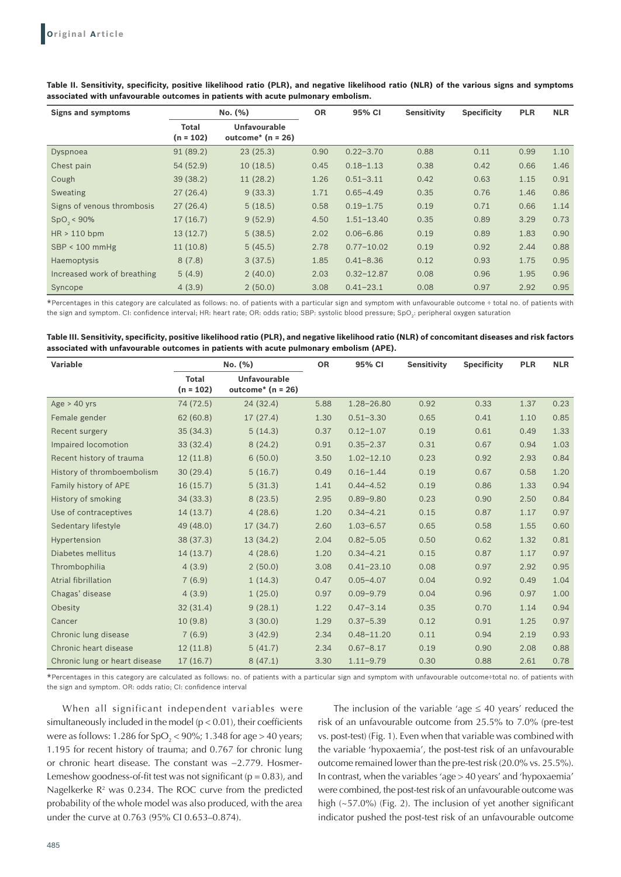| <b>Signs and symptoms</b>   | No. (%)                     |                                            | <b>OR</b> | 95% CI         | <b>Sensitivity</b> | <b>Specificity</b> | <b>PLR</b> | <b>NLR</b> |
|-----------------------------|-----------------------------|--------------------------------------------|-----------|----------------|--------------------|--------------------|------------|------------|
|                             | <b>Total</b><br>$(n = 102)$ | <b>Unfavourable</b><br>outcome* $(n = 26)$ |           |                |                    |                    |            |            |
| Dyspnoea                    | 91(89.2)                    | 23(25.3)                                   | 0.90      | $0.22 - 3.70$  | 0.88               | 0.11               | 0.99       | 1.10       |
| Chest pain                  | 54(52.9)                    | 10(18.5)                                   | 0.45      | $0.18 - 1.13$  | 0.38               | 0.42               | 0.66       | 1.46       |
| Cough                       | 39(38.2)                    | 11(28.2)                                   | 1.26      | $0.51 - 3.11$  | 0.42               | 0.63               | 1.15       | 0.91       |
| Sweating                    | 27(26.4)                    | 9(33.3)                                    | 1.71      | $0.65 - 4.49$  | 0.35               | 0.76               | 1.46       | 0.86       |
| Signs of venous thrombosis  | 27(26.4)                    | 5(18.5)                                    | 0.58      | $0.19 - 1.75$  | 0.19               | 0.71               | 0.66       | 1.14       |
| $SpO_{2}$ < 90%             | 17(16.7)                    | 9(52.9)                                    | 4.50      | $1.51 - 13.40$ | 0.35               | 0.89               | 3.29       | 0.73       |
| $HR > 110$ bpm              | 13(12.7)                    | 5(38.5)                                    | 2.02      | $0.06 - 6.86$  | 0.19               | 0.89               | 1.83       | 0.90       |
| $SBP < 100$ mmHg            | 11(10.8)                    | 5(45.5)                                    | 2.78      | $0.77 - 10.02$ | 0.19               | 0.92               | 2.44       | 0.88       |
| Haemoptysis                 | 8(7.8)                      | 3(37.5)                                    | 1.85      | $0.41 - 8.36$  | 0.12               | 0.93               | 1.75       | 0.95       |
| Increased work of breathing | 5(4.9)                      | 2(40.0)                                    | 2.03      | $0.32 - 12.87$ | 0.08               | 0.96               | 1.95       | 0.96       |
| Syncope                     | 4(3.9)                      | 2(50.0)                                    | 3.08      | $0.41 - 23.1$  | 0.08               | 0.97               | 2.92       | 0.95       |

**Table II. Sensitivity, specificity, positive likelihood ratio (PLR), and negative likelihood ratio (NLR) of the various signs and symptoms associated with unfavourable outcomes in patients with acute pulmonary embolism.**

\*Percentages in this category are calculated as follows: no. of patients with a particular sign and symptom with unfavourable outcome ÷ total no. of patients with the sign and symptom. CI: confidence interval; HR: heart rate; OR: odds ratio; SBP: systolic blood pressure; SpO<sub>3</sub>: peripheral oxygen saturation

**Table III. Sensitivity, specificity, positive likelihood ratio (PLR), and negative likelihood ratio (NLR) of concomitant diseases and risk factors associated with unfavourable outcomes in patients with acute pulmonary embolism (APE).**

| <b>Variable</b>               | No. (%)                     |                                            | <b>OR</b> | 95% CI         | <b>Sensitivity</b> | <b>Specificity</b> | <b>PLR</b> | <b>NLR</b> |
|-------------------------------|-----------------------------|--------------------------------------------|-----------|----------------|--------------------|--------------------|------------|------------|
|                               | <b>Total</b><br>$(n = 102)$ | <b>Unfavourable</b><br>outcome* $(n = 26)$ |           |                |                    |                    |            |            |
| $Age > 40$ yrs                | 74 (72.5)                   | 24(32.4)                                   | 5.88      | $1.28 - 26.80$ | 0.92               | 0.33               | 1.37       | 0.23       |
| Female gender                 | 62(60.8)                    | 17(27.4)                                   | 1.30      | $0.51 - 3.30$  | 0.65               | 0.41               | 1.10       | 0.85       |
| Recent surgery                | 35(34.3)                    | 5(14.3)                                    | 0.37      | $0.12 - 1.07$  | 0.19               | 0.61               | 0.49       | 1.33       |
| Impaired locomotion           | 33(32.4)                    | 8(24.2)                                    | 0.91      | $0.35 - 2.37$  | 0.31               | 0.67               | 0.94       | 1.03       |
| Recent history of trauma      | 12(11.8)                    | 6(50.0)                                    | 3.50      | $1.02 - 12.10$ | 0.23               | 0.92               | 2.93       | 0.84       |
| History of thromboembolism    | 30(29.4)                    | 5(16.7)                                    | 0.49      | $0.16 - 1.44$  | 0.19               | 0.67               | 0.58       | 1.20       |
| Family history of APE         | 16(15.7)                    | 5(31.3)                                    | 1.41      | $0.44 - 4.52$  | 0.19               | 0.86               | 1.33       | 0.94       |
| History of smoking            | 34(33.3)                    | 8(23.5)                                    | 2.95      | $0.89 - 9.80$  | 0.23               | 0.90               | 2.50       | 0.84       |
| Use of contraceptives         | 14(13.7)                    | 4(28.6)                                    | 1.20      | $0.34 - 4.21$  | 0.15               | 0.87               | 1.17       | 0.97       |
| Sedentary lifestyle           | 49 (48.0)                   | 17(34.7)                                   | 2.60      | $1.03 - 6.57$  | 0.65               | 0.58               | 1.55       | 0.60       |
| Hypertension                  | 38 (37.3)                   | 13 (34.2)                                  | 2.04      | $0.82 - 5.05$  | 0.50               | 0.62               | 1.32       | 0.81       |
| Diabetes mellitus             | 14(13.7)                    | 4(28.6)                                    | 1.20      | $0.34 - 4.21$  | 0.15               | 0.87               | 1.17       | 0.97       |
| Thrombophilia                 | 4(3.9)                      | 2(50.0)                                    | 3.08      | $0.41 - 23.10$ | 0.08               | 0.97               | 2.92       | 0.95       |
| Atrial fibrillation           | 7(6.9)                      | 1(14.3)                                    | 0.47      | $0.05 - 4.07$  | 0.04               | 0.92               | 0.49       | 1.04       |
| Chagas' disease               | 4(3.9)                      | 1(25.0)                                    | 0.97      | $0.09 - 9.79$  | 0.04               | 0.96               | 0.97       | 1.00       |
| Obesity                       | 32(31.4)                    | 9(28.1)                                    | 1.22      | $0.47 - 3.14$  | 0.35               | 0.70               | 1.14       | 0.94       |
| Cancer                        | 10(9.8)                     | 3(30.0)                                    | 1.29      | $0.37 - 5.39$  | 0.12               | 0.91               | 1.25       | 0.97       |
| Chronic lung disease          | 7(6.9)                      | 3(42.9)                                    | 2.34      | $0.48 - 11.20$ | 0.11               | 0.94               | 2.19       | 0.93       |
| Chronic heart disease         | 12(11.8)                    | 5(41.7)                                    | 2.34      | $0.67 - 8.17$  | 0.19               | 0.90               | 2.08       | 0.88       |
| Chronic lung or heart disease | 17(16.7)                    | 8(47.1)                                    | 3.30      | $1.11 - 9.79$  | 0.30               | 0.88               | 2.61       | 0.78       |

\*Percentages in this category are calculated as follows: no. of patients with a particular sign and symptom with unfavourable outcome÷total no. of patients with the sign and symptom. OR: odds ratio; CI: confidence interval

When all significant independent variables were simultaneously included in the model (p < 0.01), their coefficients were as follows: 1.286 for SpO<sub>2</sub> < 90%; 1.348 for age > 40 years; 1.195 for recent history of trauma; and 0.767 for chronic lung or chronic heart disease. The constant was −2.779. Hosmer-Lemeshow goodness-of-fit test was not significant ( $p = 0.83$ ), and Nagelkerke  $\mathbb{R}^2$  was 0.234. The ROC curve from the predicted probability of the whole model was also produced, with the area under the curve at 0.763 (95% CI 0.653–0.874).

The inclusion of the variable 'age  $\leq 40$  years' reduced the risk of an unfavourable outcome from 25.5% to 7.0% (pre-test vs. post-test) (Fig. 1). Even when that variable was combined with the variable 'hypoxaemia', the post-test risk of an unfavourable outcome remained lower than the pre-test risk (20.0% vs. 25.5%). In contrast, when the variables 'age > 40 years' and 'hypoxaemia' were combined, the post-test risk of an unfavourable outcome was high (~57.0%) (Fig. 2). The inclusion of yet another significant indicator pushed the post-test risk of an unfavourable outcome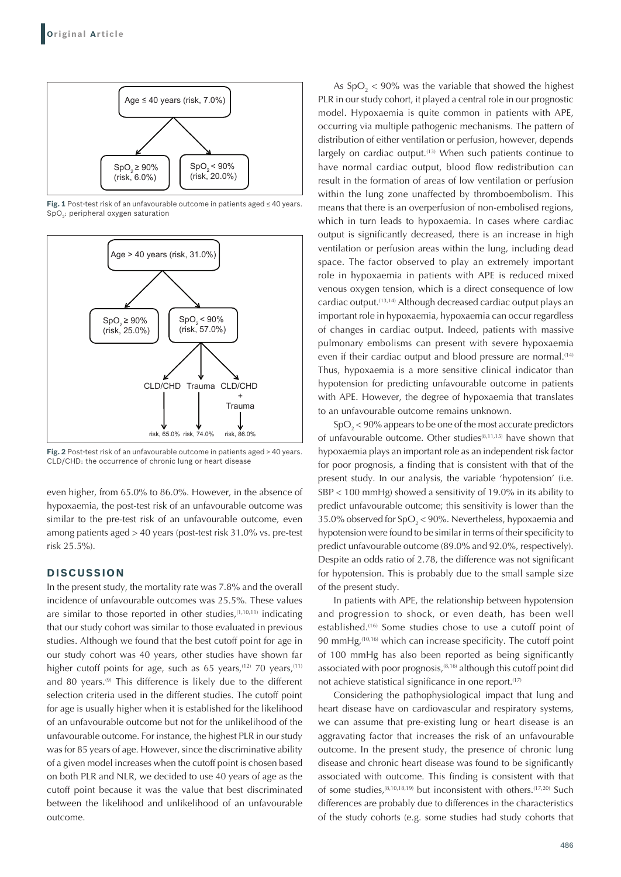

**Fig. 1** Post-test risk of an unfavourable outcome in patients aged ≤ 40 years. SpO<sub>2</sub>: peripheral oxygen saturation



**Fig. 2** Post-test risk of an unfavourable outcome in patients aged > 40 years. CLD/CHD: the occurrence of chronic lung or heart disease

even higher, from 65.0% to 86.0%. However, in the absence of hypoxaemia, the post-test risk of an unfavourable outcome was similar to the pre-test risk of an unfavourable outcome, even among patients aged > 40 years (post-test risk 31.0% vs. pre-test risk 25.5%).

## **DISCUSSION**

In the present study, the mortality rate was 7.8% and the overall incidence of unfavourable outcomes was 25.5%. These values are similar to those reported in other studies, $(1,10,11)$  indicating that our study cohort was similar to those evaluated in previous studies. Although we found that the best cutoff point for age in our study cohort was 40 years, other studies have shown far higher cutoff points for age, such as 65 years,<sup>(12)</sup> 70 years,<sup>(11)</sup> and 80 years.<sup>(9)</sup> This difference is likely due to the different selection criteria used in the different studies. The cutoff point for age is usually higher when it is established for the likelihood of an unfavourable outcome but not for the unlikelihood of the unfavourable outcome. For instance, the highest PLR in our study was for 85 years of age. However, since the discriminative ability of a given model increases when the cutoff point is chosen based on both PLR and NLR, we decided to use 40 years of age as the cutoff point because it was the value that best discriminated between the likelihood and unlikelihood of an unfavourable outcome.

As  $SpO_2$  < 90% was the variable that showed the highest PLR in our study cohort, it played a central role in our prognostic model. Hypoxaemia is quite common in patients with APE, occurring via multiple pathogenic mechanisms. The pattern of distribution of either ventilation or perfusion, however, depends largely on cardiac output.<sup>(13)</sup> When such patients continue to have normal cardiac output, blood flow redistribution can result in the formation of areas of low ventilation or perfusion within the lung zone unaffected by thromboembolism. This means that there is an overperfusion of non-embolised regions, which in turn leads to hypoxaemia. In cases where cardiac output is significantly decreased, there is an increase in high ventilation or perfusion areas within the lung, including dead space. The factor observed to play an extremely important role in hypoxaemia in patients with APE is reduced mixed venous oxygen tension, which is a direct consequence of low cardiac output.(13,14) Although decreased cardiac output plays an important role in hypoxaemia, hypoxaemia can occur regardless of changes in cardiac output. Indeed, patients with massive pulmonary embolisms can present with severe hypoxaemia even if their cardiac output and blood pressure are normal.<sup>(14)</sup> Thus, hypoxaemia is a more sensitive clinical indicator than hypotension for predicting unfavourable outcome in patients with APE. However, the degree of hypoxaemia that translates to an unfavourable outcome remains unknown.

 $\text{SpO}_2$  < 90% appears to be one of the most accurate predictors of unfavourable outcome. Other studies<sup>(8,11,15)</sup> have shown that hypoxaemia plays an important role as an independent risk factor for poor prognosis, a finding that is consistent with that of the present study. In our analysis, the variable 'hypotension' (i.e. SBP < 100 mmHg) showed a sensitivity of 19.0% in its ability to predict unfavourable outcome; this sensitivity is lower than the 35.0% observed for SpO<sub>2</sub> < 90%. Nevertheless, hypoxaemia and hypotension were found to be similar in terms of their specificity to predict unfavourable outcome (89.0% and 92.0%, respectively). Despite an odds ratio of 2.78, the difference was not significant for hypotension. This is probably due to the small sample size of the present study.

In patients with APE, the relationship between hypotension and progression to shock, or even death, has been well established.(16) Some studies chose to use a cutoff point of 90 mmHg,<sup>(10,16)</sup> which can increase specificity. The cutoff point of 100 mmHg has also been reported as being significantly associated with poor prognosis, $(8,16)$  although this cutoff point did not achieve statistical significance in one report.<sup>(17)</sup>

Considering the pathophysiological impact that lung and heart disease have on cardiovascular and respiratory systems, we can assume that pre-existing lung or heart disease is an aggravating factor that increases the risk of an unfavourable outcome. In the present study, the presence of chronic lung disease and chronic heart disease was found to be significantly associated with outcome. This finding is consistent with that of some studies,<sup>(8,10,18,19)</sup> but inconsistent with others.<sup>(17,20)</sup> Such differences are probably due to differences in the characteristics of the study cohorts (e.g. some studies had study cohorts that